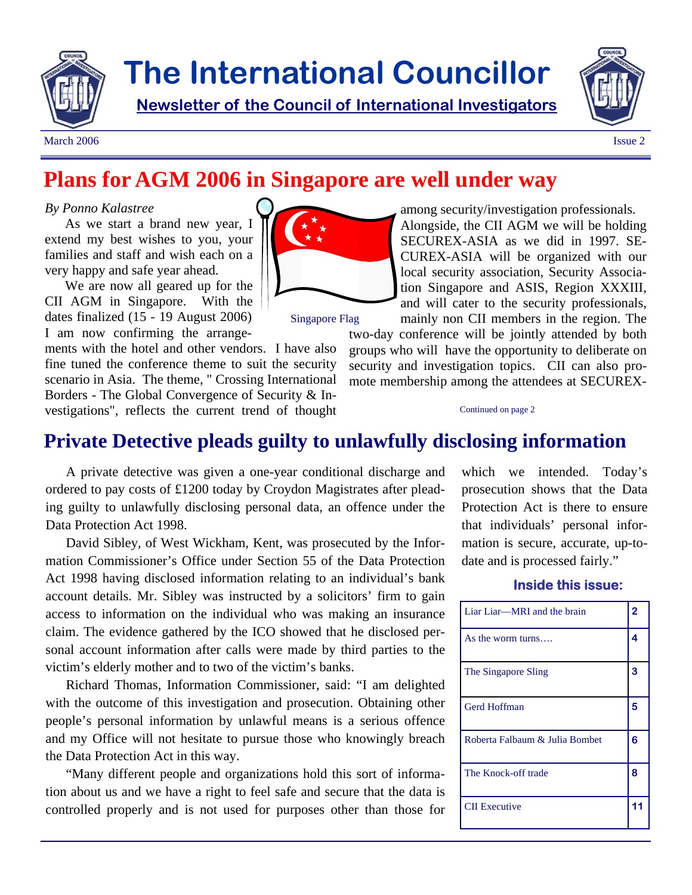

# **The International Councillor**

**Newsletter of the Council of International Investigators**



March 2006 **Issue 2** 

# **Plans for AGM 2006 in Singapore are well under way**

#### *By Ponno Kalastree*

As we start a brand new year, I extend my best wishes to you, your families and staff and wish each on a very happy and safe year ahead.

We are now all geared up for the CII AGM in Singapore. With the dates finalized (15 - 19 August 2006) I am now confirming the arrange-

ments with the hotel and other vendors. I have also fine tuned the conference theme to suit the security scenario in Asia. The theme, " Crossing International Borders - The Global Convergence of Security & Investigations", reflects the current trend of thought



among security/investigation professionals. Alongside, the CII AGM we will be holding SECUREX-ASIA as we did in 1997. SE-CUREX-ASIA will be organized with our local security association, Security Association Singapore and ASIS, Region XXXIII, and will cater to the security professionals, mainly non CII members in the region. The

Singapore Flag

two-day conference will be jointly attended by both groups who will have the opportunity to deliberate on security and investigation topics. CII can also promote membership among the attendees at SECUREX-

#### Continued on page 2

# **Private Detective pleads guilty to unlawfully disclosing information**

A private detective was given a one-year conditional discharge and ordered to pay costs of £1200 today by Croydon Magistrates after pleading guilty to unlawfully disclosing personal data, an offence under the Data Protection Act 1998.

David Sibley, of West Wickham, Kent, was prosecuted by the Information Commissioner's Office under Section 55 of the Data Protection Act 1998 having disclosed information relating to an individual's bank account details. Mr. Sibley was instructed by a solicitors' firm to gain access to information on the individual who was making an insurance claim. The evidence gathered by the ICO showed that he disclosed personal account information after calls were made by third parties to the victim's elderly mother and to two of the victim's banks.

Richard Thomas, Information Commissioner, said: "I am delighted with the outcome of this investigation and prosecution. Obtaining other people's personal information by unlawful means is a serious offence and my Office will not hesitate to pursue those who knowingly breach the Data Protection Act in this way.

"Many different people and organizations hold this sort of information about us and we have a right to feel safe and secure that the data is controlled properly and is not used for purposes other than those for

which we intended. Today's prosecution shows that the Data Protection Act is there to ensure that individuals' personal information is secure, accurate, up-todate and is processed fairly."

#### **Inside this issue:**

| Liar Liar—MRI and the brain    | 2 |
|--------------------------------|---|
| As the worm turns              | 4 |
| The Singapore Sling            | 3 |
| Gerd Hoffman                   | 5 |
| Roberta Falbaum & Julia Bombet | 6 |
| The Knock-off trade            | 8 |
| <b>CII</b> Executive           |   |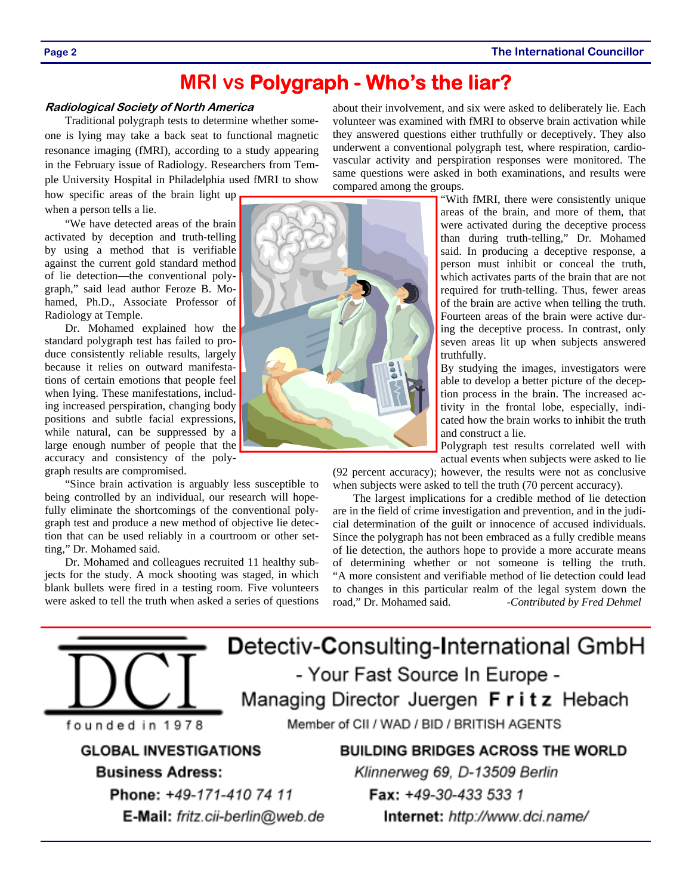**Page 2 The International Councillor** 

# **MRI vs Polygraph - Who's the liar?**

#### **Radiological Society of North America**

Traditional polygraph tests to determine whether someone is lying may take a back seat to functional magnetic resonance imaging (fMRI), according to a study appearing in the February issue of Radiology. Researchers from Temple University Hospital in Philadelphia used fMRI to show

how specific areas of the brain light up when a person tells a lie.

"We have detected areas of the brain activated by deception and truth-telling by using a method that is verifiable against the current gold standard method of lie detection—the conventional polygraph," said lead author Feroze B. Mohamed, Ph.D., Associate Professor of Radiology at Temple.

Dr. Mohamed explained how the standard polygraph test has failed to produce consistently reliable results, largely because it relies on outward manifestations of certain emotions that people feel when lying. These manifestations, including increased perspiration, changing body positions and subtle facial expressions, while natural, can be suppressed by a large enough number of people that the accuracy and consistency of the polygraph results are compromised.

"Since brain activation is arguably less susceptible to being controlled by an individual, our research will hopefully eliminate the shortcomings of the conventional polygraph test and produce a new method of objective lie detection that can be used reliably in a courtroom or other setting," Dr. Mohamed said.

Dr. Mohamed and colleagues recruited 11 healthy subjects for the study. A mock shooting was staged, in which blank bullets were fired in a testing room. Five volunteers were asked to tell the truth when asked a series of questions



about their involvement, and six were asked to deliberately lie. Each volunteer was examined with fMRI to observe brain activation while they answered questions either truthfully or deceptively. They also underwent a conventional polygraph test, where respiration, cardiovascular activity and perspiration responses were monitored. The same questions were asked in both examinations, and results were compared among the groups.

"With fMRI, there were consistently unique areas of the brain, and more of them, that were activated during the deceptive process than during truth-telling," Dr. Mohamed said. In producing a deceptive response, a person must inhibit or conceal the truth, which activates parts of the brain that are not required for truth-telling. Thus, fewer areas of the brain are active when telling the truth. Fourteen areas of the brain were active during the deceptive process. In contrast, only seven areas lit up when subjects answered truthfully.

By studying the images, investigators were able to develop a better picture of the deception process in the brain. The increased activity in the frontal lobe, especially, indicated how the brain works to inhibit the truth and construct a lie.

Polygraph test results correlated well with actual events when subjects were asked to lie

(92 percent accuracy); however, the results were not as conclusive when subjects were asked to tell the truth (70 percent accuracy).

The largest implications for a credible method of lie detection are in the field of crime investigation and prevention, and in the judicial determination of the guilt or innocence of accused individuals. Since the polygraph has not been embraced as a fully credible means of lie detection, the authors hope to provide a more accurate means of determining whether or not someone is telling the truth. "A more consistent and verifiable method of lie detection could lead to changes in this particular realm of the legal system down the road," Dr. Mohamed said. *-Contributed by Fred Dehmel*

Detectiv-Consulting-International GmbH - Your Fast Source In Europe -Managing Director Juergen Fritz Hebach Member of CII / WAD / BID / BRITISH AGENTS founded in 1978 **GLOBAL INVESTIGATIONS BUILDING BRIDGES ACROSS THE WORLD Business Adress:** Klinnerweg 69, D-13509 Berlin Phone: +49-171-410 74 11

E-Mail: fritz.cii-berlin@web.de

Fax: +49-30-433 533 1 Internet: http://www.dci.name/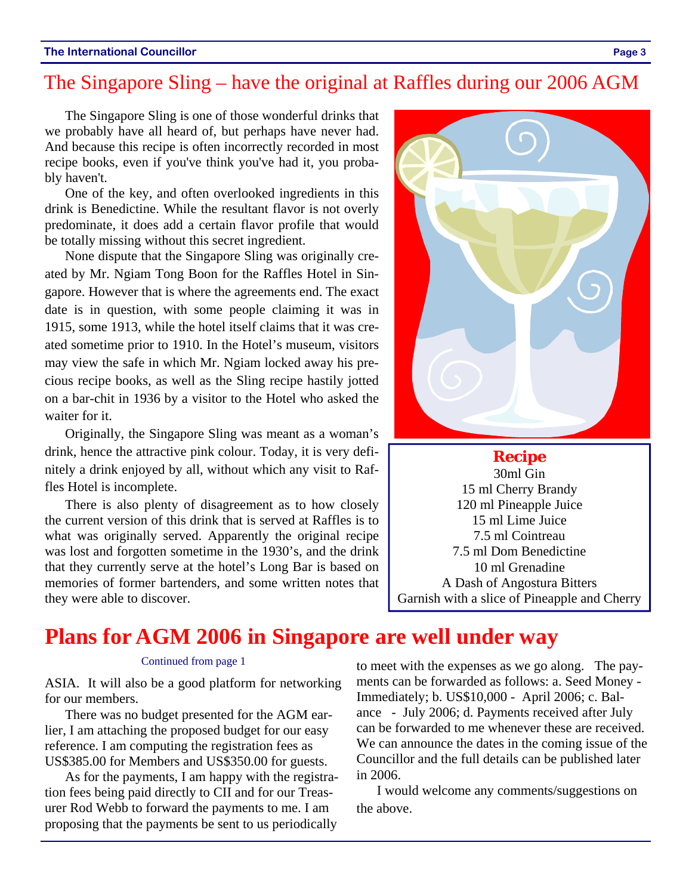# The Singapore Sling – have the original at Raffles during our 2006 AGM

The Singapore Sling is one of those wonderful drinks that we probably have all heard of, but perhaps have never had. And because this recipe is often incorrectly recorded in most recipe books, even if you've think you've had it, you probably haven't.

One of the key, and often overlooked ingredients in this drink is Benedictine. While the resultant flavor is not overly predominate, it does add a certain flavor profile that would be totally missing without this secret ingredient.

None dispute that the Singapore Sling was originally created by Mr. Ngiam Tong Boon for the Raffles Hotel in Singapore. However that is where the agreements end. The exact date is in question, with some people claiming it was in 1915, some 1913, while the hotel itself claims that it was created sometime prior to 1910. In the Hotel's museum, visitors may view the safe in which Mr. Ngiam locked away his precious recipe books, as well as the Sling recipe hastily jotted on a bar-chit in 1936 by a visitor to the Hotel who asked the waiter for it.

Originally, the Singapore Sling was meant as a woman's drink, hence the attractive pink colour. Today, it is very definitely a drink enjoyed by all, without which any visit to Raffles Hotel is incomplete.

There is also plenty of disagreement as to how closely the current version of this drink that is served at Raffles is to what was originally served. Apparently the original recipe was lost and forgotten sometime in the 1930's, and the drink that they currently serve at the hotel's Long Bar is based on memories of former bartenders, and some written notes that they were able to discover.



**Recipe** 30ml Gin 15 ml Cherry Brandy 120 ml Pineapple Juice 15 ml Lime Juice 7.5 ml Cointreau 7.5 ml Dom Benedictine 10 ml Grenadine A Dash of Angostura Bitters Garnish with a slice of Pineapple and Cherry

# **Plans for AGM 2006 in Singapore are well under way**

#### Continued from page 1

ASIA. It will also be a good platform for networking for our members.

There was no budget presented for the AGM earlier, I am attaching the proposed budget for our easy reference. I am computing the registration fees as US\$385.00 for Members and US\$350.00 for guests.

As for the payments, I am happy with the registration fees being paid directly to CII and for our Treasurer Rod Webb to forward the payments to me. I am proposing that the payments be sent to us periodically

to meet with the expenses as we go along. The payments can be forwarded as follows: a. Seed Money - Immediately; b. US\$10,000 - April 2006; c. Balance - July 2006; d. Payments received after July can be forwarded to me whenever these are received. We can announce the dates in the coming issue of the Councillor and the full details can be published later in 2006.

I would welcome any comments/suggestions on the above.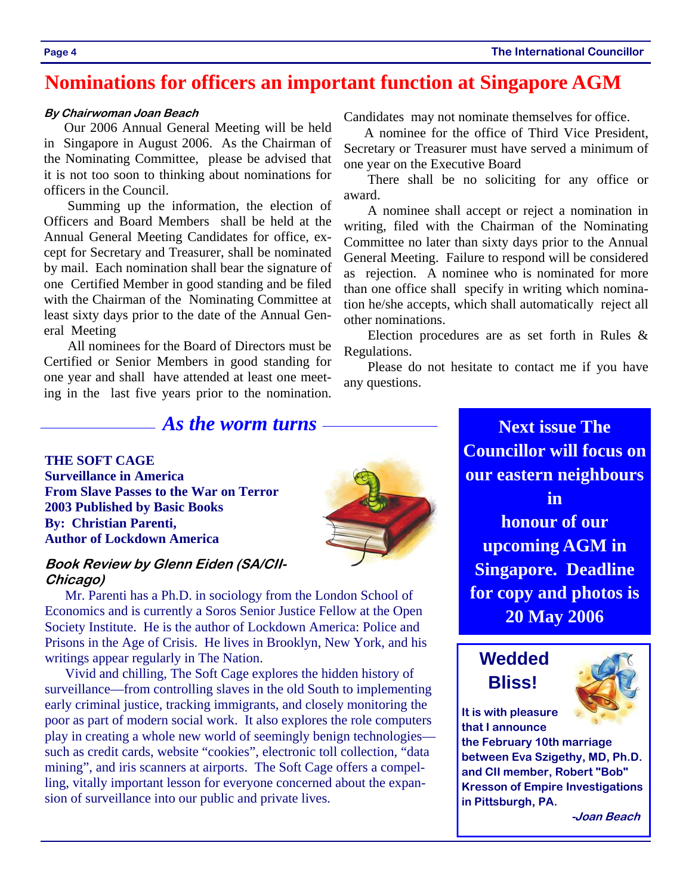## **Nominations for officers an important function at Singapore AGM**

#### **By Chairwoman Joan Beach**

Our 2006 Annual General Meeting will be held in Singapore in August 2006. As the Chairman of the Nominating Committee, please be advised that it is not too soon to thinking about nominations for officers in the Council.

 Summing up the information, the election of Officers and Board Members shall be held at the Annual General Meeting Candidates for office, except for Secretary and Treasurer, shall be nominated by mail. Each nomination shall bear the signature of one Certified Member in good standing and be filed with the Chairman of the Nominating Committee at least sixty days prior to the date of the Annual General Meeting

 All nominees for the Board of Directors must be Certified or Senior Members in good standing for one year and shall have attended at least one meeting in the last five years prior to the nomination. Candidates may not nominate themselves for office.

A nominee for the office of Third Vice President, Secretary or Treasurer must have served a minimum of one year on the Executive Board

 There shall be no soliciting for any office or award.

 A nominee shall accept or reject a nomination in writing, filed with the Chairman of the Nominating Committee no later than sixty days prior to the Annual General Meeting. Failure to respond will be considered as rejection. A nominee who is nominated for more than one office shall specify in writing which nomination he/she accepts, which shall automatically reject all other nominations.

 Election procedures are as set forth in Rules & Regulations.

 Please do not hesitate to contact me if you have any questions.

### *As the worm turns* — **Next issue The**

### **THE SOFT CAGE**

**Surveillance in America From Slave Passes to the War on Terror 2003 Published by Basic Books By: Christian Parenti, Author of Lockdown America** 

### **Book Review by Glenn Eiden (SA/CII-Chicago)**

Mr. Parenti has a Ph.D. in sociology from the London School of Economics and is currently a Soros Senior Justice Fellow at the Open Society Institute. He is the author of Lockdown America: Police and Prisons in the Age of Crisis. He lives in Brooklyn, New York, and his writings appear regularly in The Nation.

Vivid and chilling, The Soft Cage explores the hidden history of surveillance—from controlling slaves in the old South to implementing early criminal justice, tracking immigrants, and closely monitoring the poor as part of modern social work. It also explores the role computers play in creating a whole new world of seemingly benign technologies such as credit cards, website "cookies", electronic toll collection, "data mining", and iris scanners at airports. The Soft Cage offers a compelling, vitally important lesson for everyone concerned about the expansion of surveillance into our public and private lives.

**Councillor will focus on our eastern neighbours in honour of our upcoming AGM in Singapore. Deadline for copy and photos is 20 May 2006** 

## **Wedded Bliss!**



**It is with pleasure that I announce** 

**the February 10th marriage between Eva Szigethy, MD, Ph.D. and CII member, Robert "Bob" Kresson of Empire Investigations in Pittsburgh, PA.** 

 **-Joan Beach**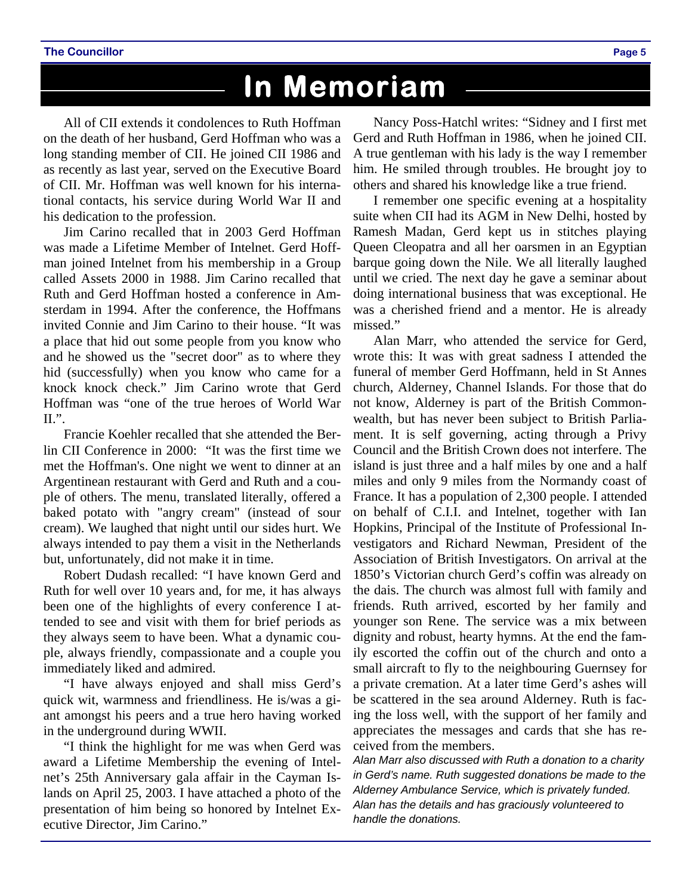# **In Memoriam**

All of CII extends it condolences to Ruth Hoffman on the death of her husband, Gerd Hoffman who was a long standing member of CII. He joined CII 1986 and as recently as last year, served on the Executive Board of CII. Mr. Hoffman was well known for his international contacts, his service during World War II and his dedication to the profession.

Jim Carino recalled that in 2003 Gerd Hoffman was made a Lifetime Member of Intelnet. Gerd Hoffman joined Intelnet from his membership in a Group called Assets 2000 in 1988. Jim Carino recalled that Ruth and Gerd Hoffman hosted a conference in Amsterdam in 1994. After the conference, the Hoffmans invited Connie and Jim Carino to their house. "It was a place that hid out some people from you know who and he showed us the "secret door" as to where they hid (successfully) when you know who came for a knock knock check." Jim Carino wrote that Gerd Hoffman was "one of the true heroes of World War II.".

Francie Koehler recalled that she attended the Berlin CII Conference in 2000: "It was the first time we met the Hoffman's. One night we went to dinner at an Argentinean restaurant with Gerd and Ruth and a couple of others. The menu, translated literally, offered a baked potato with "angry cream" (instead of sour cream). We laughed that night until our sides hurt. We always intended to pay them a visit in the Netherlands but, unfortunately, did not make it in time.

Robert Dudash recalled: "I have known Gerd and Ruth for well over 10 years and, for me, it has always been one of the highlights of every conference I attended to see and visit with them for brief periods as they always seem to have been. What a dynamic couple, always friendly, compassionate and a couple you immediately liked and admired.

"I have always enjoyed and shall miss Gerd's quick wit, warmness and friendliness. He is/was a giant amongst his peers and a true hero having worked in the underground during WWII.

"I think the highlight for me was when Gerd was award a Lifetime Membership the evening of Intelnet's 25th Anniversary gala affair in the Cayman Islands on April 25, 2003. I have attached a photo of the presentation of him being so honored by Intelnet Executive Director, Jim Carino."

Nancy Poss-Hatchl writes: "Sidney and I first met Gerd and Ruth Hoffman in 1986, when he joined CII. A true gentleman with his lady is the way I remember him. He smiled through troubles. He brought joy to others and shared his knowledge like a true friend.

I remember one specific evening at a hospitality suite when CII had its AGM in New Delhi, hosted by Ramesh Madan, Gerd kept us in stitches playing Queen Cleopatra and all her oarsmen in an Egyptian barque going down the Nile. We all literally laughed until we cried. The next day he gave a seminar about doing international business that was exceptional. He was a cherished friend and a mentor. He is already missed."

Alan Marr, who attended the service for Gerd, wrote this: It was with great sadness I attended the funeral of member Gerd Hoffmann, held in St Annes church, Alderney, Channel Islands. For those that do not know, Alderney is part of the British Commonwealth, but has never been subject to British Parliament. It is self governing, acting through a Privy Council and the British Crown does not interfere. The island is just three and a half miles by one and a half miles and only 9 miles from the Normandy coast of France. It has a population of 2,300 people. I attended on behalf of C.I.I. and Intelnet, together with Ian Hopkins, Principal of the Institute of Professional Investigators and Richard Newman, President of the Association of British Investigators. On arrival at the 1850's Victorian church Gerd's coffin was already on the dais. The church was almost full with family and friends. Ruth arrived, escorted by her family and younger son Rene. The service was a mix between dignity and robust, hearty hymns. At the end the family escorted the coffin out of the church and onto a small aircraft to fly to the neighbouring Guernsey for a private cremation. At a later time Gerd's ashes will be scattered in the sea around Alderney. Ruth is facing the loss well, with the support of her family and appreciates the messages and cards that she has received from the members.

*Alan Marr also discussed with Ruth a donation to a charity in Gerd's name. Ruth suggested donations be made to the Alderney Ambulance Service, which is privately funded. Alan has the details and has graciously volunteered to handle the donations.*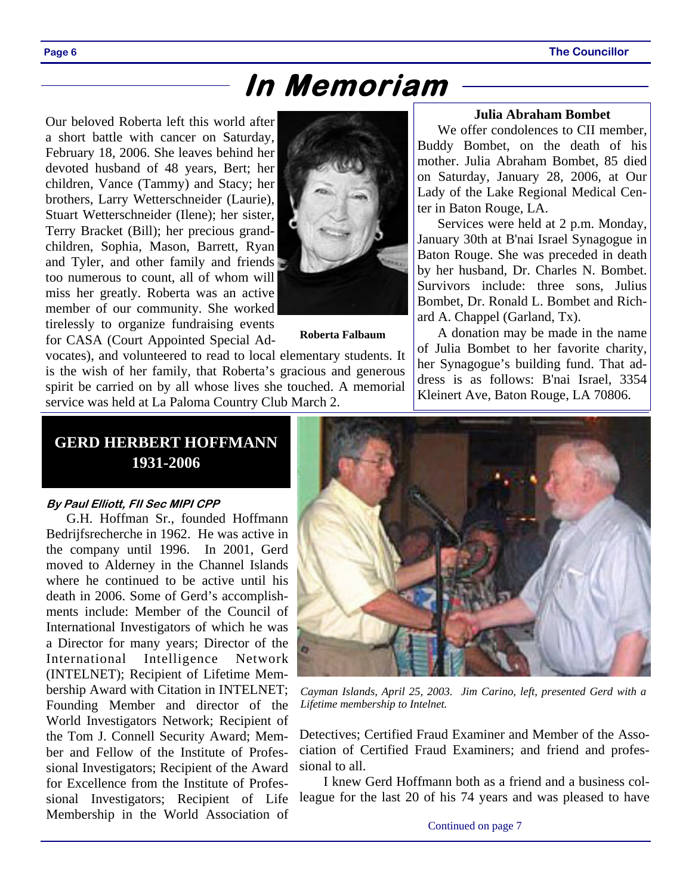# **In Memoriam**

Our beloved Roberta left this world after a short battle with cancer on Saturday, February 18, 2006. She leaves behind her devoted husband of 48 years, Bert; her children, Vance (Tammy) and Stacy; her brothers, Larry Wetterschneider (Laurie), Stuart Wetterschneider (Ilene); her sister, Terry Bracket (Bill); her precious grandchildren, Sophia, Mason, Barrett, Ryan and Tyler, and other family and friends too numerous to count, all of whom will miss her greatly. Roberta was an active member of our community. She worked tirelessly to organize fundraising events for CASA (Court Appointed Special Ad-



**Roberta Falbaum** 

vocates), and volunteered to read to local elementary students. It is the wish of her family, that Roberta's gracious and generous spirit be carried on by all whose lives she touched. A memorial service was held at La Paloma Country Club March 2.

#### **Julia Abraham Bombet**

We offer condolences to CII member, Buddy Bombet, on the death of his mother. Julia Abraham Bombet, 85 died on Saturday, January 28, 2006, at Our Lady of the Lake Regional Medical Center in Baton Rouge, LA.

Services were held at 2 p.m. Monday, January 30th at B'nai Israel Synagogue in Baton Rouge. She was preceded in death by her husband, Dr. Charles N. Bombet. Survivors include: three sons, Julius Bombet, Dr. Ronald L. Bombet and Richard A. Chappel (Garland, Tx).

A donation may be made in the name of Julia Bombet to her favorite charity, her Synagogue's building fund. That address is as follows: B'nai Israel, 3354 Kleinert Ave, Baton Rouge, LA 70806.

### **GERD HERBERT HOFFMANN 1931-2006**

#### **By Paul Elliott, FII Sec MIPI CPP**

G.H. Hoffman Sr., founded Hoffmann Bedrijfsrecherche in 1962. He was active in the company until 1996. In 2001, Gerd moved to Alderney in the Channel Islands where he continued to be active until his death in 2006. Some of Gerd's accomplishments include: Member of the Council of International Investigators of which he was a Director for many years; Director of the International Intelligence Network (INTELNET); Recipient of Lifetime Membership Award with Citation in INTELNET; Founding Member and director of the World Investigators Network; Recipient of the Tom J. Connell Security Award; Member and Fellow of the Institute of Professional Investigators; Recipient of the Award for Excellence from the Institute of Professional Investigators; Recipient of Life Membership in the World Association of



*Cayman Islands, April 25, 2003. Jim Carino, left, presented Gerd with a Lifetime membership to Intelnet.* 

Detectives; Certified Fraud Examiner and Member of the Association of Certified Fraud Examiners; and friend and professional to all.

 I knew Gerd Hoffmann both as a friend and a business colleague for the last 20 of his 74 years and was pleased to have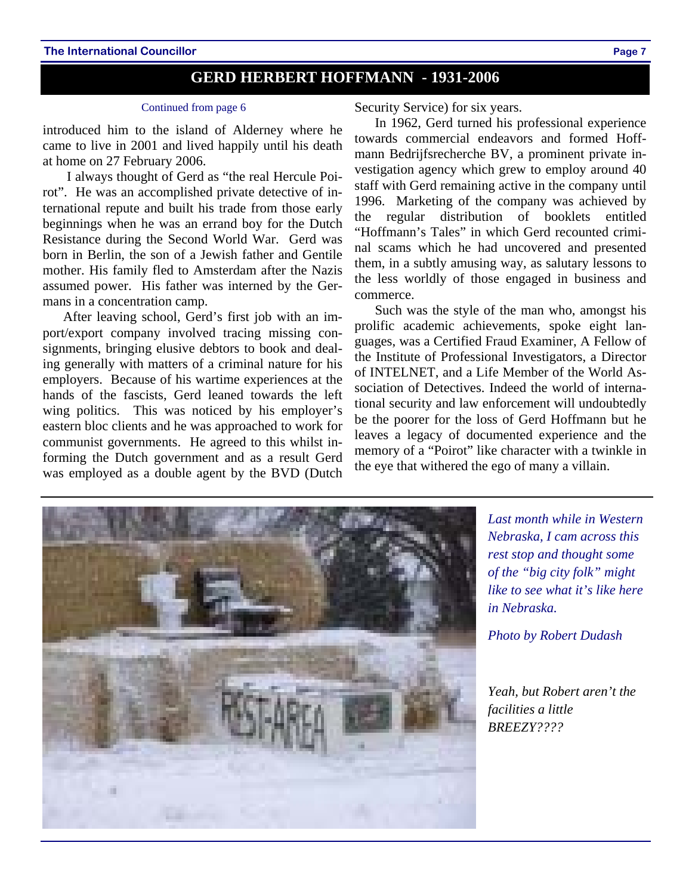#### **The International Councillor Page 7**

### **GERD HERBERT HOFFMANN - 1931-2006**

#### Continued from page 6

introduced him to the island of Alderney where he came to live in 2001 and lived happily until his death at home on 27 February 2006.

 I always thought of Gerd as "the real Hercule Poirot". He was an accomplished private detective of international repute and built his trade from those early beginnings when he was an errand boy for the Dutch Resistance during the Second World War. Gerd was born in Berlin, the son of a Jewish father and Gentile mother. His family fled to Amsterdam after the Nazis assumed power. His father was interned by the Germans in a concentration camp.

After leaving school, Gerd's first job with an import/export company involved tracing missing consignments, bringing elusive debtors to book and dealing generally with matters of a criminal nature for his employers. Because of his wartime experiences at the hands of the fascists, Gerd leaned towards the left wing politics. This was noticed by his employer's eastern bloc clients and he was approached to work for communist governments. He agreed to this whilst informing the Dutch government and as a result Gerd was employed as a double agent by the BVD (Dutch

Security Service) for six years.

In 1962, Gerd turned his professional experience towards commercial endeavors and formed Hoffmann Bedrijfsrecherche BV, a prominent private investigation agency which grew to employ around 40 staff with Gerd remaining active in the company until 1996. Marketing of the company was achieved by the regular distribution of booklets entitled "Hoffmann's Tales" in which Gerd recounted criminal scams which he had uncovered and presented them, in a subtly amusing way, as salutary lessons to the less worldly of those engaged in business and commerce.

Such was the style of the man who, amongst his prolific academic achievements, spoke eight languages, was a Certified Fraud Examiner, A Fellow of the Institute of Professional Investigators, a Director of INTELNET, and a Life Member of the World Association of Detectives. Indeed the world of international security and law enforcement will undoubtedly be the poorer for the loss of Gerd Hoffmann but he leaves a legacy of documented experience and the memory of a "Poirot" like character with a twinkle in the eye that withered the ego of many a villain.



*Last month while in Western Nebraska, I cam across this rest stop and thought some of the "big city folk" might like to see what it's like here in Nebraska.* 

*Photo by Robert Dudash* 

*Yeah, but Robert aren't the facilities a little BREEZY????*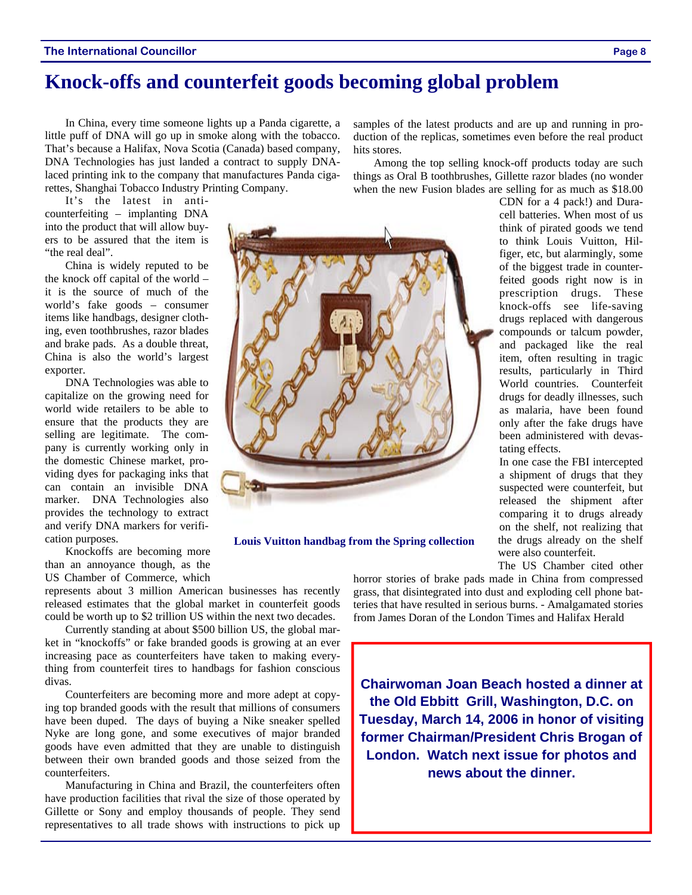#### **The International Councillor Page 8**

## **Knock-offs and counterfeit goods becoming global problem**

In China, every time someone lights up a Panda cigarette, a little puff of DNA will go up in smoke along with the tobacco. That's because a Halifax, Nova Scotia (Canada) based company, DNA Technologies has just landed a contract to supply DNAlaced printing ink to the company that manufactures Panda cigarettes, Shanghai Tobacco Industry Printing Company.

It's the latest in anticounterfeiting – implanting DNA into the product that will allow buyers to be assured that the item is "the real deal".

China is widely reputed to be the knock off capital of the world – it is the source of much of the world's fake goods – consumer items like handbags, designer clothing, even toothbrushes, razor blades and brake pads. As a double threat, China is also the world's largest exporter.

DNA Technologies was able to capitalize on the growing need for world wide retailers to be able to ensure that the products they are selling are legitimate. The company is currently working only in the domestic Chinese market, providing dyes for packaging inks that can contain an invisible DNA marker. DNA Technologies also provides the technology to extract and verify DNA markers for verification purposes.

Knockoffs are becoming more than an annoyance though, as the US Chamber of Commerce, which

represents about 3 million American businesses has recently released estimates that the global market in counterfeit goods could be worth up to \$2 trillion US within the next two decades.

Currently standing at about \$500 billion US, the global market in "knockoffs" or fake branded goods is growing at an ever increasing pace as counterfeiters have taken to making everything from counterfeit tires to handbags for fashion conscious divas.

Counterfeiters are becoming more and more adept at copying top branded goods with the result that millions of consumers have been duped. The days of buying a Nike sneaker spelled Nyke are long gone, and some executives of major branded goods have even admitted that they are unable to distinguish between their own branded goods and those seized from the counterfeiters.

Manufacturing in China and Brazil, the counterfeiters often have production facilities that rival the size of those operated by Gillette or Sony and employ thousands of people. They send representatives to all trade shows with instructions to pick up samples of the latest products and are up and running in production of the replicas, sometimes even before the real product hits stores.

Among the top selling knock-off products today are such things as Oral B toothbrushes, Gillette razor blades (no wonder when the new Fusion blades are selling for as much as \$18.00

> CDN for a 4 pack!) and Duracell batteries. When most of us think of pirated goods we tend to think Louis Vuitton, Hilfiger, etc, but alarmingly, some of the biggest trade in counterfeited goods right now is in prescription drugs. These knock-offs see life-saving drugs replaced with dangerous compounds or talcum powder, and packaged like the real item, often resulting in tragic results, particularly in Third World countries. Counterfeit drugs for deadly illnesses, such as malaria, have been found only after the fake drugs have been administered with devastating effects.

> In one case the FBI intercepted a shipment of drugs that they suspected were counterfeit, but released the shipment after comparing it to drugs already on the shelf, not realizing that the drugs already on the shelf were also counterfeit.

> The US Chamber cited other

horror stories of brake pads made in China from compressed grass, that disintegrated into dust and exploding cell phone batteries that have resulted in serious burns. - Amalgamated stories from James Doran of the London Times and Halifax Herald

**Chairwoman Joan Beach hosted a dinner at the Old Ebbitt Grill, Washington, D.C. on Tuesday, March 14, 2006 in honor of visiting former Chairman/President Chris Brogan of London. Watch next issue for photos and news about the dinner.** 

**Louis Vuitton handbag from the Spring collection** 

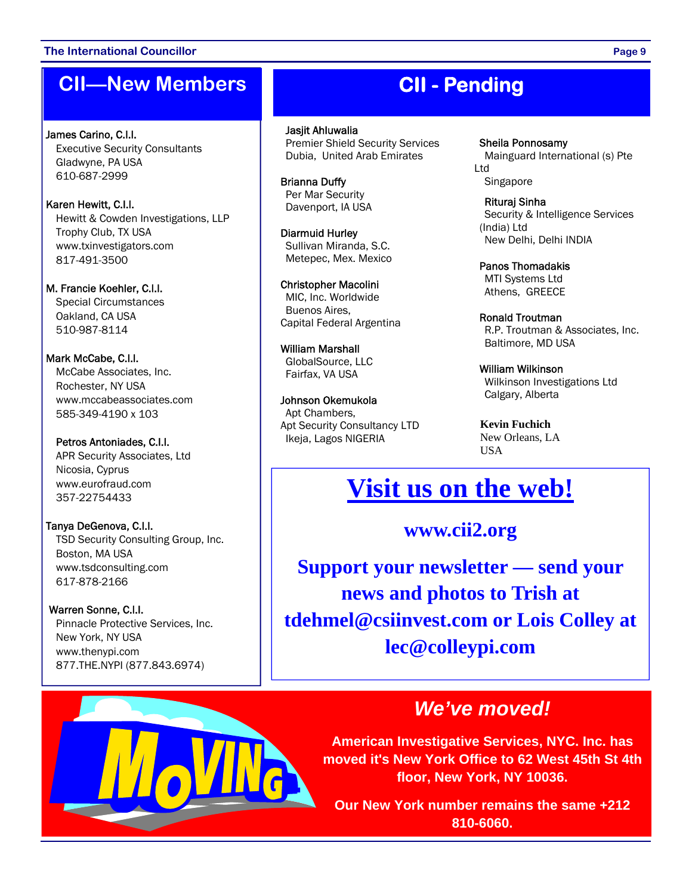#### **The International Councillor Page 9**

# **CII—New Members**

James Carino, C.I.I.<br>Executive Security Consultants Gladwyne, PA USA 610-687-2999

Karen Hewitt, C.I.I.<br>Hewitt & Cowden Investigations, LLP Trophy Club, TX USA www.txinvestigators.com 817-491-3500

M. Francie Koehler, C.I.I. Special Circumstances Oakland, CA USA 510-987-8114

Mark McCabe, C.I.I.<br>McCabe Associates, Inc. Rochester, NY USA www.mccabeassociates.com 585-349-4190 x 103

Petros Antoniades, C.I.I.<br>APR Security Associates, Ltd Nicosia, Cyprus www.eurofraud.com 357-22754433

**Tanya DeGenova, C.I.I.**<br>TSD Security Consulting Group, Inc. Boston, MA USA www.tsdconsulting.com 617-878-2166

Warren Sonne, C.I.I.<br>Pinnacle Protective Services, Inc. New York, NY USA www.thenypi.com 877.THE.NYPI (877.843.6974)



Jasjit Ahluwalia Premier Shield Security Services Dubia, United Arab Emirates

Brianna Duffy Per Mar Security Davenport, IA USA

Diarmuid Hurley Sullivan Miranda, S.C. Metepec, Mex. Mexico

Christopher Macolini MIC, Inc. Worldwide Buenos Aires, Capital Federal Argentina

William Marshall GlobalSource, LLC Fairfax, VA USA

Johnson Okemukola Apt Chambers, Apt Security Consultancy LTD Ikeja, Lagos NIGERIA

Sheila Ponnosamy

Mainguard International (s) Pte Ltd Singapore

Rituraj Sinha Security & Intelligence Services (India) Ltd New Delhi, Delhi INDIA

Panos Thomadakis MTI Systems Ltd Athens, GREECE

Ronald Troutman R.P. Troutman & Associates, Inc. Baltimore, MD USA

William Wilkinson Wilkinson Investigations Ltd Calgary, Alberta

 **Kevin Fuchich**  New Orleans, LA USA

# **Visit us on the web!**

### **www.cii2.org**

**Support your newsletter — send your news and photos to Trish at tdehmel@csiinvest.com or Lois Colley at lec@colleypi.com** 

# *We've moved!*

**American Investigative Services, NYC. Inc. has moved it's New York Office to 62 West 45th St 4th floor, New York, NY 10036.** 

**Our New York number remains the same +212 810-6060.** 

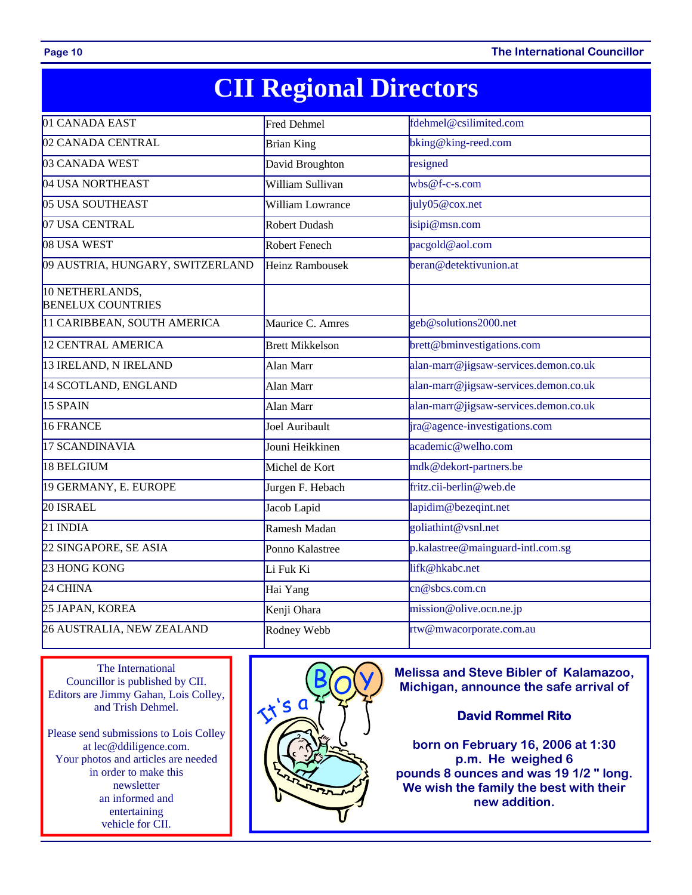**Page 10** The International Councillor

# **CII Regional Directors**

| 01 CANADA EAST                              | <b>Fred Dehmel</b>      | fdehmel@csilimited.com                |
|---------------------------------------------|-------------------------|---------------------------------------|
| 02 CANADA CENTRAL                           | <b>Brian King</b>       | bking@king-reed.com                   |
| 03 CANADA WEST                              | David Broughton         | resigned                              |
| 04 USA NORTHEAST                            | William Sullivan        | $wbs@f-c-s.com$                       |
| 05 USA SOUTHEAST                            | <b>William Lowrance</b> | july05@cox.net                        |
| 07 USA CENTRAL                              | <b>Robert Dudash</b>    | isipi@msn.com                         |
| 08 USA WEST                                 | Robert Fenech           | pacgold@aol.com                       |
| 09 AUSTRIA, HUNGARY, SWITZERLAND            | <b>Heinz Rambousek</b>  | beran@detektivunion.at                |
| 10 NETHERLANDS,<br><b>BENELUX COUNTRIES</b> |                         |                                       |
| 11 CARIBBEAN, SOUTH AMERICA                 | Maurice C. Amres        | geb@solutions2000.net                 |
| <b>12 CENTRAL AMERICA</b>                   | <b>Brett Mikkelson</b>  | brett@bminvestigations.com            |
| 13 IRELAND, N IRELAND                       | Alan Marr               | alan-marr@jigsaw-services.demon.co.uk |
| 14 SCOTLAND, ENGLAND                        | Alan Marr               | alan-marr@jigsaw-services.demon.co.uk |
| 15 SPAIN                                    | Alan Marr               | alan-marr@jigsaw-services.demon.co.uk |
| 16 FRANCE                                   | Joel Auribault          | jra@agence-investigations.com         |
| 17 SCANDINAVIA                              | Jouni Heikkinen         | academic@welho.com                    |
| 18 BELGIUM                                  | Michel de Kort          | mdk@dekort-partners.be                |
| 19 GERMANY, E. EUROPE                       | Jurgen F. Hebach        | fritz.cii-berlin@web.de               |
| 20 ISRAEL                                   | Jacob Lapid             | lapidim@bezeqint.net                  |
| $21$ INDIA                                  | Ramesh Madan            | goliathint@vsnl.net                   |
| 22 SINGAPORE, SE ASIA                       | Ponno Kalastree         | p.kalastree@mainguard-intl.com.sg     |
| 23 HONG KONG                                | Li Fuk Ki               | lifk@hkabc.net                        |
| 24 CHINA                                    | Hai Yang                | cn@sbcs.com.cn                        |
| 25 JAPAN, KOREA                             | Kenji Ohara             | mission@olive.ocn.ne.jp               |
| 26 AUSTRALIA, NEW ZEALAND                   | Rodney Webb             | rtw@mwacorporate.com.au               |

The International Councillor is published by CII. Editors are Jimmy Gahan, Lois Colley, and Trish Dehmel.

Please send submissions to Lois Colley at lec@ddiligence.com. Your photos and articles are needed in order to make this newsletter an informed and entertaining vehicle for CII.



**Melissa and Steve Bibler of Kalamazoo, Michigan, announce the safe arrival of** 

### **David Rommel Rito**

**born on February 16, 2006 at 1:30 p.m. He weighed 6 pounds 8 ounces and was 19 1/2 " long. We wish the family the best with their new addition.**